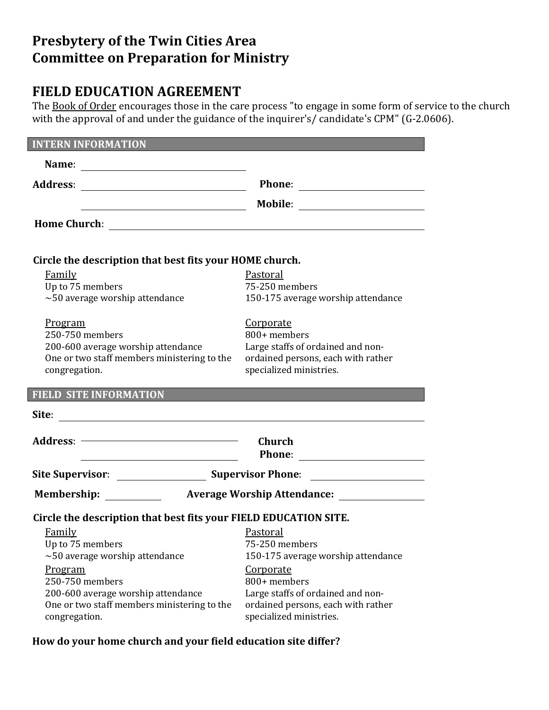# **Presbytery of the Twin Cities Area Committee on Preparation for Ministry**

# **FIELD EDUCATION AGREEMENT**

The Book of Order encourages those in the care process "to engage in some form of service to the church with the approval of and under the guidance of the inquirer's/ candidate's CPM" (G-2.0606).

| <b>INTERN INFORMATION</b>                                                                                            |                                                               |  |  |  |
|----------------------------------------------------------------------------------------------------------------------|---------------------------------------------------------------|--|--|--|
|                                                                                                                      |                                                               |  |  |  |
|                                                                                                                      |                                                               |  |  |  |
|                                                                                                                      |                                                               |  |  |  |
|                                                                                                                      |                                                               |  |  |  |
| Circle the description that best fits your HOME church.                                                              |                                                               |  |  |  |
| Family                                                                                                               | Pastoral                                                      |  |  |  |
| Up to 75 members                                                                                                     | 75-250 members                                                |  |  |  |
| $\sim$ 50 average worship attendance                                                                                 | 150-175 average worship attendance                            |  |  |  |
| <u>Program</u>                                                                                                       | Corporate                                                     |  |  |  |
| 250-750 members                                                                                                      | 800+ members                                                  |  |  |  |
| 200-600 average worship attendance                                                                                   | Large staffs of ordained and non-                             |  |  |  |
| One or two staff members ministering to the                                                                          | ordained persons, each with rather                            |  |  |  |
| congregation.                                                                                                        | specialized ministries.                                       |  |  |  |
| <b>FIELD SITE INFORMATION <i>EXECUTIVE SITE INFORMATION</i></b>                                                      |                                                               |  |  |  |
| Site:                                                                                                                |                                                               |  |  |  |
|                                                                                                                      | Church                                                        |  |  |  |
| <u> 1980 - Johann Barn, mars ann an t-Amhain Aonaich an t-Aonaich an t-Aonaich ann an t-Aonaich ann an t-Aonaich</u> |                                                               |  |  |  |
|                                                                                                                      |                                                               |  |  |  |
| <b>Membership:</b>                                                                                                   |                                                               |  |  |  |
|                                                                                                                      |                                                               |  |  |  |
|                                                                                                                      |                                                               |  |  |  |
| Circle the description that best fits your FIELD EDUCATION SITE.                                                     |                                                               |  |  |  |
| Family                                                                                                               | <b>Pastoral</b>                                               |  |  |  |
| Up to 75 members                                                                                                     | 75-250 members                                                |  |  |  |
| $\sim$ 50 average worship attendance                                                                                 | 150-175 average worship attendance                            |  |  |  |
| <u>Program</u>                                                                                                       | <b>Corporate</b>                                              |  |  |  |
| 250-750 members                                                                                                      | 800+ members                                                  |  |  |  |
| 200-600 average worship attendance                                                                                   | Large staffs of ordained and non-                             |  |  |  |
| One or two staff members ministering to the<br>congregation.                                                         | ordained persons, each with rather<br>specialized ministries. |  |  |  |

### **How do your home church and your field education site differ?**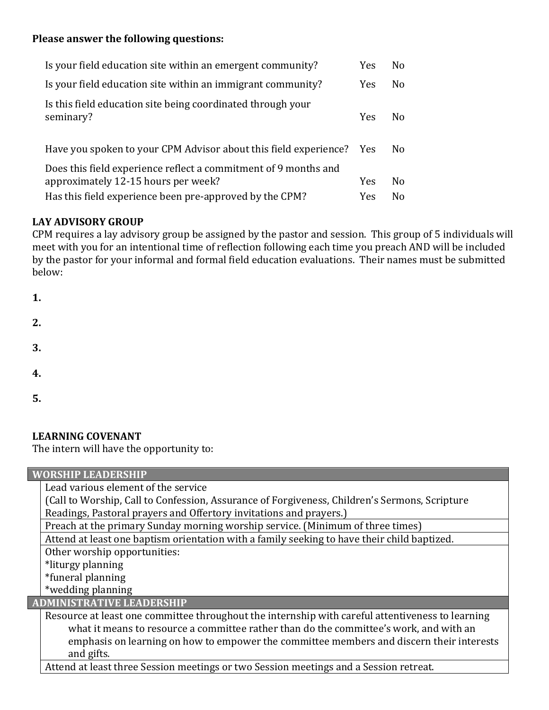### **Please answer the following questions:**

| Is your field education site within an emergent community?                                             | <b>Yes</b> | N <sub>0</sub> |
|--------------------------------------------------------------------------------------------------------|------------|----------------|
| Is your field education site within an immigrant community?                                            | <b>Yes</b> | N <sub>o</sub> |
| Is this field education site being coordinated through your<br>seminary?                               | <b>Yes</b> | Nο             |
| Have you spoken to your CPM Advisor about this field experience? Yes                                   |            | N <sub>0</sub> |
| Does this field experience reflect a commitment of 9 months and<br>approximately 12-15 hours per week? | <b>Yes</b> | N <sub>o</sub> |
| Has this field experience been pre-approved by the CPM?                                                | Yes        | N <sub>o</sub> |

# **LAY ADVISORY GROUP**

CPM requires a lay advisory group be assigned by the pastor and session. This group of 5 individuals will meet with you for an intentional time of reflection following each time you preach AND will be included by the pastor for your informal and formal field education evaluations. Their names must be submitted below:

| 1. |  |  |  |
|----|--|--|--|
| 2. |  |  |  |
| 3. |  |  |  |
| 4. |  |  |  |
| 5. |  |  |  |

### **LEARNING COVENANT**

The intern will have the opportunity to:

| <b>WORSHIP LEADERSHIP</b>                                                                        |  |  |
|--------------------------------------------------------------------------------------------------|--|--|
| Lead various element of the service                                                              |  |  |
| (Call to Worship, Call to Confession, Assurance of Forgiveness, Children's Sermons, Scripture    |  |  |
| Readings, Pastoral prayers and Offertory invitations and prayers.)                               |  |  |
| Preach at the primary Sunday morning worship service. (Minimum of three times)                   |  |  |
| Attend at least one baptism orientation with a family seeking to have their child baptized.      |  |  |
| Other worship opportunities:                                                                     |  |  |
| *liturgy planning                                                                                |  |  |
| *funeral planning                                                                                |  |  |
| *wedding planning                                                                                |  |  |
| <b>ADMINISTRATIVE LEADERSHIP</b>                                                                 |  |  |
| Resource at least one committee throughout the internship with careful attentiveness to learning |  |  |
| what it means to resource a committee rather than do the committee's work, and with an           |  |  |
| emphasis on learning on how to empower the committee members and discern their interests         |  |  |
| and gifts.                                                                                       |  |  |
| Attend at least three Session meetings or two Session meetings and a Session retreat.            |  |  |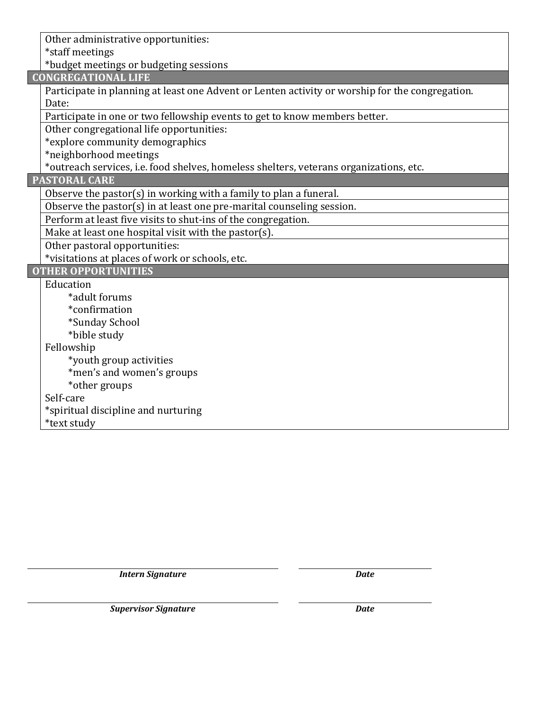Other administrative opportunities: \*staff meetings

\*budget meetings or budgeting sessions

**CONGREGATIONAL LIFE**

Participate in planning at least one Advent or Lenten activity or worship for the congregation. Date:

Participate in one or two fellowship events to get to know members better.

Other congregational life opportunities:

\*explore community demographics

\*neighborhood meetings

\*outreach services, i.e. food shelves, homeless shelters, veterans organizations, etc.

#### **PASTORAL CARE**

Observe the pastor(s) in working with a family to plan a funeral.

Observe the pastor(s) in at least one pre-marital counseling session.

Perform at least five visits to shut-ins of the congregation.

Make at least one hospital visit with the pastor(s).

Other pastoral opportunities:

\*visitations at places of work or schools, etc.

**OTHER OPPORTUNITIES**

Education

- \*adult forums
- \*confirmation
- \*Sunday School
- \*bible study
- Fellowship
	- \*youth group activities
	- \*men's and women's groups
- \*other groups

Self-care

\*spiritual discipline and nurturing

\*text study

*Intern Signature Date*

*Supervisor Signature Date*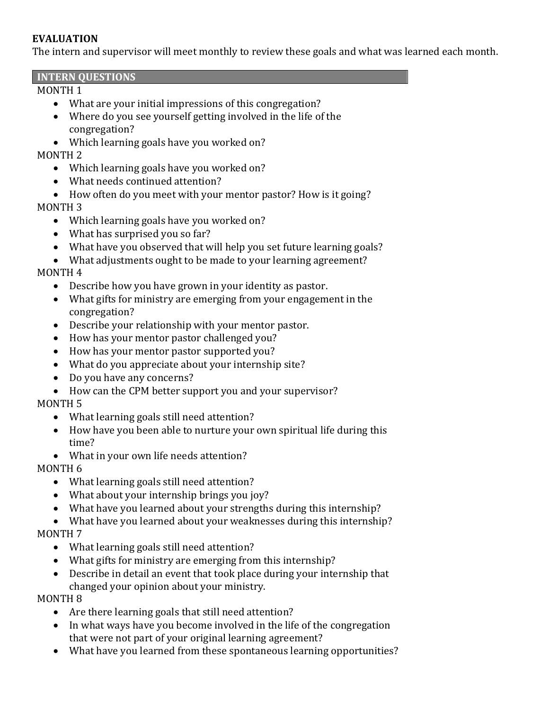### **EVALUATION**

The intern and supervisor will meet monthly to review these goals and what was learned each month.

#### **INTERN QUESTIONS**

### MONTH 1

- What are your initial impressions of this congregation?
- Where do you see yourself getting involved in the life of the congregation?
- Which learning goals have you worked on?

# MONTH 2

- Which learning goals have you worked on?
- What needs continued attention?
- How often do you meet with your mentor pastor? How is it going?

# MONTH 3

- Which learning goals have you worked on?
- What has surprised you so far?
- What have you observed that will help you set future learning goals?
- What adjustments ought to be made to your learning agreement?

# MONTH 4

- Describe how you have grown in your identity as pastor.
- What gifts for ministry are emerging from your engagement in the congregation?
- Describe your relationship with your mentor pastor.
- How has your mentor pastor challenged you?
- How has your mentor pastor supported you?
- What do you appreciate about your internship site?
- Do you have any concerns?
- How can the CPM better support you and your supervisor?

# MONTH 5

- What learning goals still need attention?
- How have you been able to nurture your own spiritual life during this time?
- What in your own life needs attention?

# MONTH 6

- What learning goals still need attention?
- What about your internship brings you joy?
- What have you learned about your strengths during this internship?
- What have you learned about your weaknesses during this internship? MONTH 7
	- What learning goals still need attention?
	- What gifts for ministry are emerging from this internship?
	- Describe in detail an event that took place during your internship that changed your opinion about your ministry.

# MONTH 8

- Are there learning goals that still need attention?
- In what ways have you become involved in the life of the congregation that were not part of your original learning agreement?
- What have you learned from these spontaneous learning opportunities?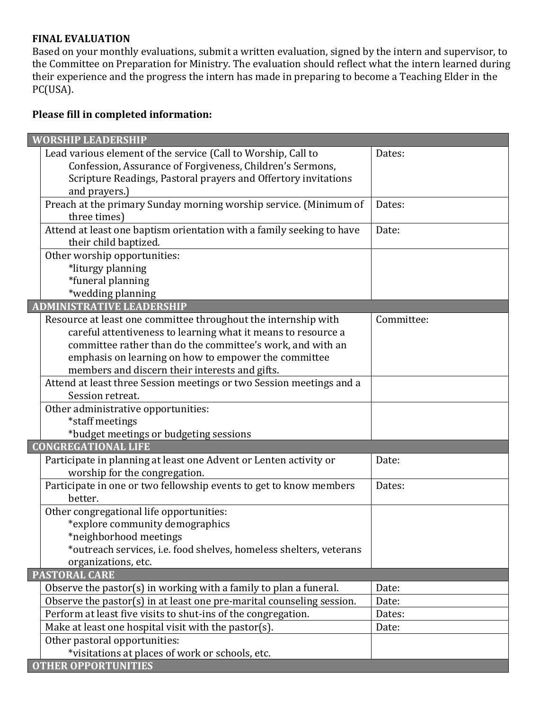#### **FINAL EVALUATION**

Based on your monthly evaluations, submit a written evaluation, signed by the intern and supervisor, to the Committee on Preparation for Ministry. The evaluation should reflect what the intern learned during their experience and the progress the intern has made in preparing to become a Teaching Elder in the PC(USA).

# **Please fill in completed information:**

| <b>WORSHIP LEADERSHIP</b>                                             |            |
|-----------------------------------------------------------------------|------------|
| Lead various element of the service (Call to Worship, Call to         | Dates:     |
| Confession, Assurance of Forgiveness, Children's Sermons,             |            |
| Scripture Readings, Pastoral prayers and Offertory invitations        |            |
| and prayers.)                                                         |            |
| Preach at the primary Sunday morning worship service. (Minimum of     | Dates:     |
| three times)                                                          |            |
| Attend at least one baptism orientation with a family seeking to have | Date:      |
| their child baptized.                                                 |            |
| Other worship opportunities:                                          |            |
| *liturgy planning                                                     |            |
| *funeral planning                                                     |            |
| *wedding planning                                                     |            |
| <b>ADMINISTRATIVE LEADERSHIP</b>                                      |            |
| Resource at least one committee throughout the internship with        | Committee: |
| careful attentiveness to learning what it means to resource a         |            |
| committee rather than do the committee's work, and with an            |            |
| emphasis on learning on how to empower the committee                  |            |
| members and discern their interests and gifts.                        |            |
| Attend at least three Session meetings or two Session meetings and a  |            |
| Session retreat.                                                      |            |
| Other administrative opportunities:                                   |            |
| *staff meetings                                                       |            |
| *budget meetings or budgeting sessions                                |            |
| <b>CONGREGATIONAL LIFE</b>                                            |            |
| Participate in planning at least one Advent or Lenten activity or     | Date:      |
| worship for the congregation.                                         |            |
| Participate in one or two fellowship events to get to know members    | Dates:     |
| better.                                                               |            |
| Other congregational life opportunities:                              |            |
| *explore community demographics                                       |            |
| *neighborhood meetings                                                |            |
| *outreach services, i.e. food shelves, homeless shelters, veterans    |            |
| organizations, etc.                                                   |            |
| <b>PASTORAL CARE</b>                                                  |            |
| Observe the pastor(s) in working with a family to plan a funeral.     | Date:      |
| Observe the pastor(s) in at least one pre-marital counseling session. | Date:      |
| Perform at least five visits to shut-ins of the congregation.         | Dates:     |
| Make at least one hospital visit with the pastor(s).                  | Date:      |
| Other pastoral opportunities:                                         |            |
| *visitations at places of work or schools, etc.                       |            |
| <b>OTHER OPPORTUNITIES</b>                                            |            |
|                                                                       |            |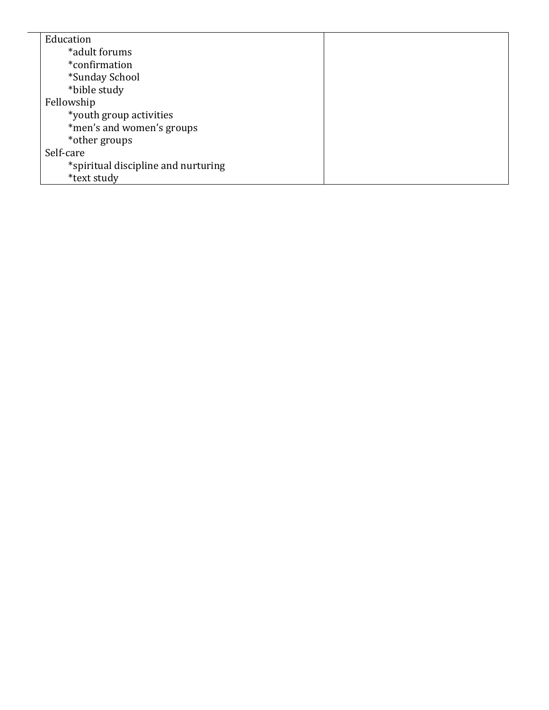| Education                           |  |
|-------------------------------------|--|
| *adult forums                       |  |
| *confirmation                       |  |
| *Sunday School                      |  |
| *bible study                        |  |
| Fellowship                          |  |
| *youth group activities             |  |
| *men's and women's groups           |  |
| *other groups                       |  |
| Self-care                           |  |
| *spiritual discipline and nurturing |  |
| *text study                         |  |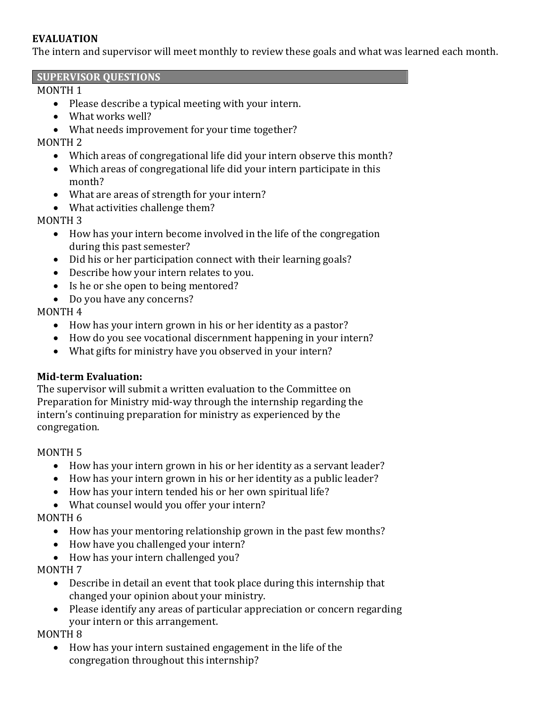### **EVALUATION**

The intern and supervisor will meet monthly to review these goals and what was learned each month.

#### **SUPERVISOR QUESTIONS**

### MONTH 1

- Please describe a typical meeting with your intern.
- What works well?
- What needs improvement for your time together?

### MONTH 2

- Which areas of congregational life did your intern observe this month?
- Which areas of congregational life did your intern participate in this month?
- What are areas of strength for your intern?
- What activities challenge them?

### MONTH 3

- How has your intern become involved in the life of the congregation during this past semester?
- Did his or her participation connect with their learning goals?
- Describe how your intern relates to you.
- Is he or she open to being mentored?
- Do you have any concerns?

# MONTH 4

- How has your intern grown in his or her identity as a pastor?
- How do you see vocational discernment happening in your intern?
- What gifts for ministry have you observed in your intern?

# **Mid-term Evaluation:**

The supervisor will submit a written evaluation to the Committee on Preparation for Ministry mid-way through the internship regarding the intern's continuing preparation for ministry as experienced by the congregation.

# MONTH 5

- How has your intern grown in his or her identity as a servant leader?
- How has your intern grown in his or her identity as a public leader?
- How has your intern tended his or her own spiritual life?
- What counsel would you offer your intern?

# MONTH 6

- How has your mentoring relationship grown in the past few months?
- How have you challenged your intern?
- How has your intern challenged you?

# MONTH 7

- Describe in detail an event that took place during this internship that changed your opinion about your ministry.
- Please identify any areas of particular appreciation or concern regarding your intern or this arrangement.

# MONTH 8

• How has your intern sustained engagement in the life of the congregation throughout this internship?